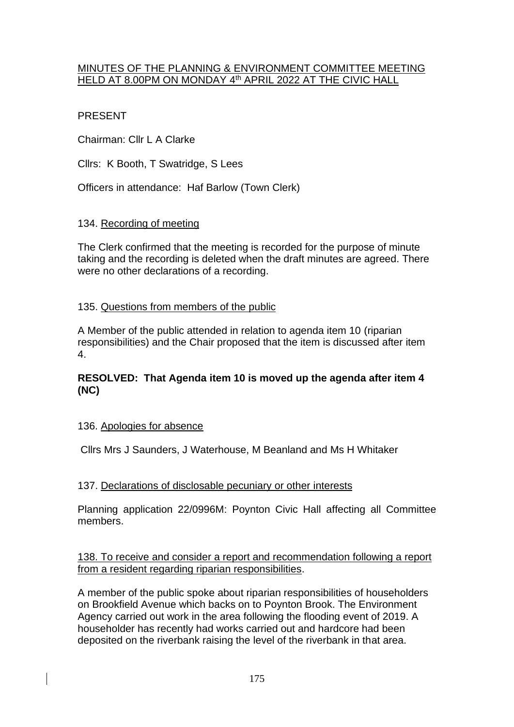## MINUTES OF THE PLANNING & ENVIRONMENT COMMITTEE MEETING <u>HELD AT 8.00PM ON MONDAY 4th APRIL 2022 AT THE CIVIC HALL</u>

# PRESENT

Chairman: Cllr L A Clarke

Cllrs: K Booth, T Swatridge, S Lees

Officers in attendance: Haf Barlow (Town Clerk)

# 134. Recording of meeting

The Clerk confirmed that the meeting is recorded for the purpose of minute taking and the recording is deleted when the draft minutes are agreed. There were no other declarations of a recording.

# 135. Questions from members of the public

A Member of the public attended in relation to agenda item 10 (riparian responsibilities) and the Chair proposed that the item is discussed after item 4.

# **RESOLVED: That Agenda item 10 is moved up the agenda after item 4 (NC)**

# 136. Apologies for absence

Cllrs Mrs J Saunders, J Waterhouse, M Beanland and Ms H Whitaker

# 137. Declarations of disclosable pecuniary or other interests

Planning application 22/0996M: Poynton Civic Hall affecting all Committee members.

#### 138. To receive and consider a report and recommendation following a report from a resident regarding riparian responsibilities.

A member of the public spoke about riparian responsibilities of householders on Brookfield Avenue which backs on to Poynton Brook. The Environment Agency carried out work in the area following the flooding event of 2019. A householder has recently had works carried out and hardcore had been deposited on the riverbank raising the level of the riverbank in that area.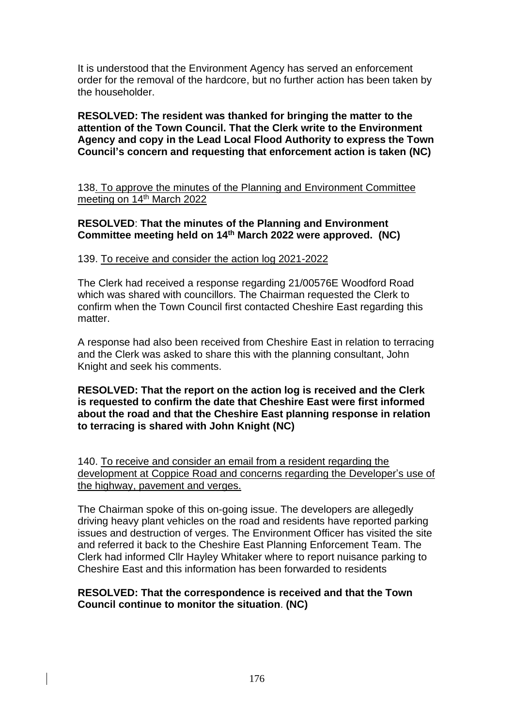It is understood that the Environment Agency has served an enforcement order for the removal of the hardcore, but no further action has been taken by the householder.

**RESOLVED: The resident was thanked for bringing the matter to the attention of the Town Council. That the Clerk write to the Environment Agency and copy in the Lead Local Flood Authority to express the Town Council's concern and requesting that enforcement action is taken (NC)**

138. To approve the minutes of the Planning and Environment Committee meeting on 14<sup>th</sup> March 2022

## **RESOLVED**: **That the minutes of the Planning and Environment Committee meeting held on 14th March 2022 were approved. (NC)**

#### 139. To receive and consider the action log 2021-2022

The Clerk had received a response regarding 21/00576E Woodford Road which was shared with councillors. The Chairman requested the Clerk to confirm when the Town Council first contacted Cheshire East regarding this matter

A response had also been received from Cheshire East in relation to terracing and the Clerk was asked to share this with the planning consultant, John Knight and seek his comments.

**RESOLVED: That the report on the action log is received and the Clerk is requested to confirm the date that Cheshire East were first informed about the road and that the Cheshire East planning response in relation to terracing is shared with John Knight (NC)**

140. To receive and consider an email from a resident regarding the development at Coppice Road and concerns regarding the Developer's use of the highway, pavement and verges.

The Chairman spoke of this on-going issue. The developers are allegedly driving heavy plant vehicles on the road and residents have reported parking issues and destruction of verges. The Environment Officer has visited the site and referred it back to the Cheshire East Planning Enforcement Team. The Clerk had informed Cllr Hayley Whitaker where to report nuisance parking to Cheshire East and this information has been forwarded to residents

## **RESOLVED: That the correspondence is received and that the Town Council continue to monitor the situation**. **(NC)**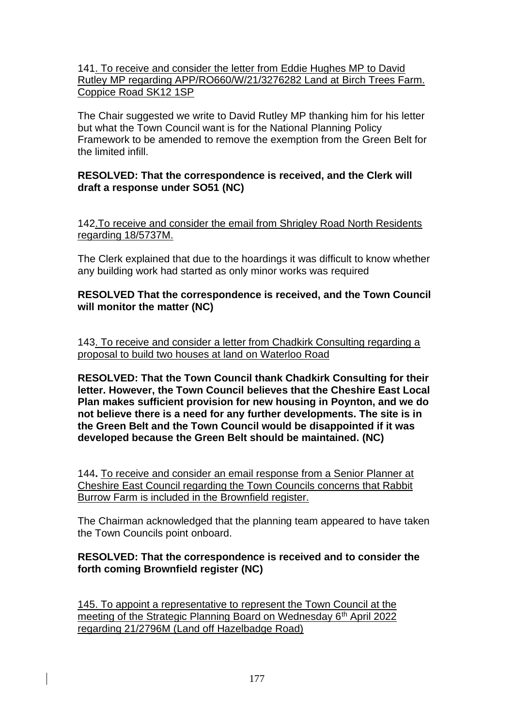141. To receive and consider the letter from Eddie Hughes MP to David Rutley MP regarding APP/RO660/W/21/3276282 Land at Birch Trees Farm. Coppice Road SK12 1SP

The Chair suggested we write to David Rutley MP thanking him for his letter but what the Town Council want is for the National Planning Policy Framework to be amended to remove the exemption from the Green Belt for the limited infill.

## **RESOLVED: That the correspondence is received, and the Clerk will draft a response under SO51 (NC)**

142.To receive and consider the email from Shrigley Road North Residents regarding 18/5737M.

The Clerk explained that due to the hoardings it was difficult to know whether any building work had started as only minor works was required

## **RESOLVED That the correspondence is received, and the Town Council will monitor the matter (NC)**

143. To receive and consider a letter from Chadkirk Consulting regarding a proposal to build two houses at land on Waterloo Road

**RESOLVED: That the Town Council thank Chadkirk Consulting for their letter. However, the Town Council believes that the Cheshire East Local Plan makes sufficient provision for new housing in Poynton, and we do not believe there is a need for any further developments. The site is in the Green Belt and the Town Council would be disappointed if it was developed because the Green Belt should be maintained. (NC)**

144**.** To receive and consider an email response from a Senior Planner at Cheshire East Council regarding the Town Councils concerns that Rabbit Burrow Farm is included in the Brownfield register.

The Chairman acknowledged that the planning team appeared to have taken the Town Councils point onboard.

## **RESOLVED: That the correspondence is received and to consider the forth coming Brownfield register (NC)**

145. To appoint a representative to represent the Town Council at the meeting of the Strategic Planning Board on Wednesday 6<sup>th</sup> April 2022 regarding 21/2796M (Land off Hazelbadge Road)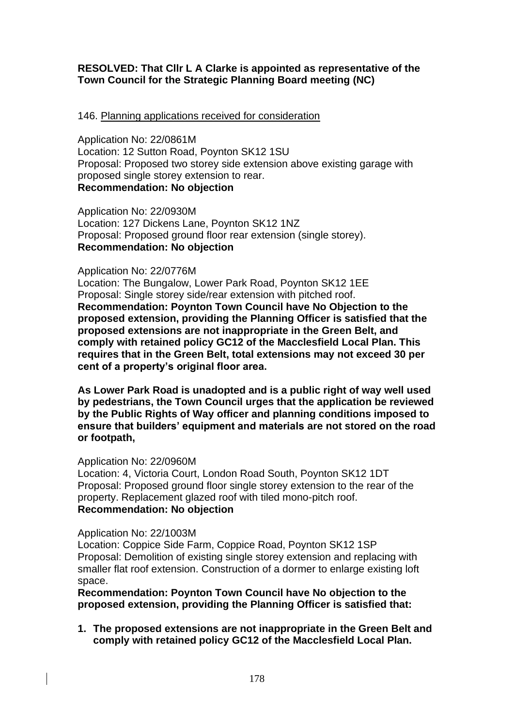# **RESOLVED: That Cllr L A Clarke is appointed as representative of the Town Council for the Strategic Planning Board meeting (NC)**

#### 146. Planning applications received for consideration

Application No: 22/0861M Location: 12 Sutton Road, Poynton SK12 1SU Proposal: Proposed two storey side extension above existing garage with proposed single storey extension to rear. **Recommendation: No objection**

Application No: 22/0930M Location: 127 Dickens Lane, Poynton SK12 1NZ Proposal: Proposed ground floor rear extension (single storey). **Recommendation: No objection**

#### Application No: 22/0776M

Location: The Bungalow, Lower Park Road, Poynton SK12 1EE Proposal: Single storey side/rear extension with pitched roof. **Recommendation: Poynton Town Council have No Objection to the proposed extension, providing the Planning Officer is satisfied that the proposed extensions are not inappropriate in the Green Belt, and comply with retained policy GC12 of the Macclesfield Local Plan. This requires that in the Green Belt, total extensions may not exceed 30 per cent of a property's original floor area.**

**As Lower Park Road is unadopted and is a public right of way well used by pedestrians, the Town Council urges that the application be reviewed by the Public Rights of Way officer and planning conditions imposed to ensure that builders' equipment and materials are not stored on the road or footpath,**

#### Application No: 22/0960M

Location: 4, Victoria Court, London Road South, Poynton SK12 1DT Proposal: Proposed ground floor single storey extension to the rear of the property. Replacement glazed roof with tiled mono-pitch roof. **Recommendation: No objection**

#### Application No: 22/1003M

Location: Coppice Side Farm, Coppice Road, Poynton SK12 1SP Proposal: Demolition of existing single storey extension and replacing with smaller flat roof extension. Construction of a dormer to enlarge existing loft space.

**Recommendation: Poynton Town Council have No objection to the proposed extension, providing the Planning Officer is satisfied that:**

**1. The proposed extensions are not inappropriate in the Green Belt and comply with retained policy GC12 of the Macclesfield Local Plan.**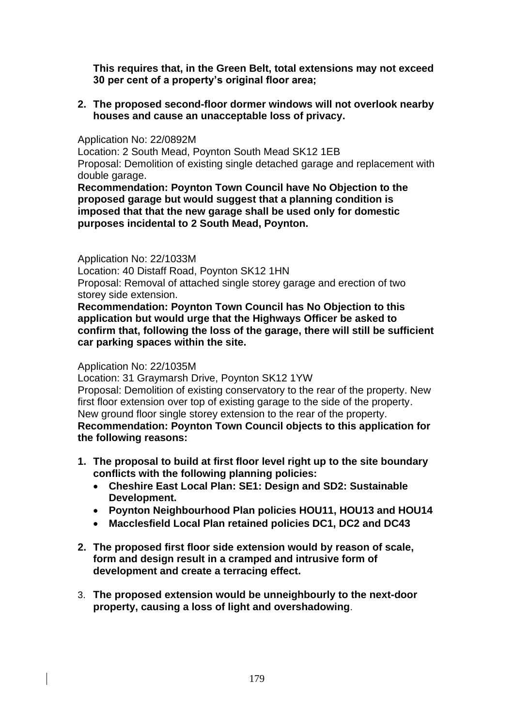**This requires that, in the Green Belt, total extensions may not exceed 30 per cent of a property's original floor area;** 

**2. The proposed second-floor dormer windows will not overlook nearby houses and cause an unacceptable loss of privacy.**

Application No: 22/0892M

Location: 2 South Mead, Poynton South Mead SK12 1EB Proposal: Demolition of existing single detached garage and replacement with double garage.

**Recommendation: Poynton Town Council have No Objection to the proposed garage but would suggest that a planning condition is imposed that that the new garage shall be used only for domestic purposes incidental to 2 South Mead, Poynton.**

#### Application No: 22/1033M

Location: 40 Distaff Road, Poynton SK12 1HN

Proposal: Removal of attached single storey garage and erection of two storey side extension.

**Recommendation: Poynton Town Council has No Objection to this application but would urge that the Highways Officer be asked to confirm that, following the loss of the garage, there will still be sufficient car parking spaces within the site.**

#### Application No: 22/1035M

Location: 31 Graymarsh Drive, Poynton SK12 1YW Proposal: Demolition of existing conservatory to the rear of the property. New first floor extension over top of existing garage to the side of the property. New ground floor single storey extension to the rear of the property. **Recommendation: Poynton Town Council objects to this application for the following reasons:**

- **1. The proposal to build at first floor level right up to the site boundary conflicts with the following planning policies:**
	- **Cheshire East Local Plan: SE1: Design and SD2: Sustainable Development.**
	- **Poynton Neighbourhood Plan policies HOU11, HOU13 and HOU14**
	- **Macclesfield Local Plan retained policies DC1, DC2 and DC43**
- **2. The proposed first floor side extension would by reason of scale, form and design result in a cramped and intrusive form of development and create a terracing effect.**
- 3. **The proposed extension would be unneighbourly to the next-door property, causing a loss of light and overshadowing**.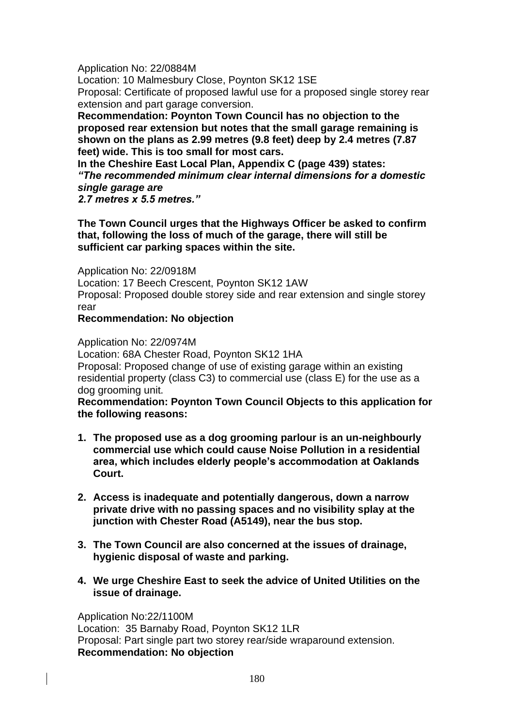Application No: 22/0884M

Location: 10 Malmesbury Close, Poynton SK12 1SE

Proposal: Certificate of proposed lawful use for a proposed single storey rear extension and part garage conversion.

**Recommendation: Poynton Town Council has no objection to the proposed rear extension but notes that the small garage remaining is shown on the plans as 2.99 metres (9.8 feet) deep by 2.4 metres (7.87 feet) wide. This is too small for most cars.**

**In the Cheshire East Local Plan, Appendix C (page 439) states:** *"The recommended minimum clear internal dimensions for a domestic single garage are 2.7 metres x 5.5 metres."*

**The Town Council urges that the Highways Officer be asked to confirm that, following the loss of much of the garage, there will still be sufficient car parking spaces within the site.**

Application No: 22/0918M Location: 17 Beech Crescent, Poynton SK12 1AW Proposal: Proposed double storey side and rear extension and single storey rear

## **Recommendation: No objection**

Application No: 22/0974M

Location: 68A Chester Road, Poynton SK12 1HA

Proposal: Proposed change of use of existing garage within an existing residential property (class C3) to commercial use (class E) for the use as a dog grooming unit.

**Recommendation: Poynton Town Council Objects to this application for the following reasons:**

- **1. The proposed use as a dog grooming parlour is an un-neighbourly commercial use which could cause Noise Pollution in a residential area, which includes elderly people's accommodation at Oaklands Court.**
- **2. Access is inadequate and potentially dangerous, down a narrow private drive with no passing spaces and no visibility splay at the junction with Chester Road (A5149), near the bus stop.**
- **3. The Town Council are also concerned at the issues of drainage, hygienic disposal of waste and parking.**
- **4. We urge Cheshire East to seek the advice of United Utilities on the issue of drainage.**

Application No:22/1100M Location: 35 Barnaby Road, Poynton SK12 1LR Proposal: Part single part two storey rear/side wraparound extension. **Recommendation: No objection**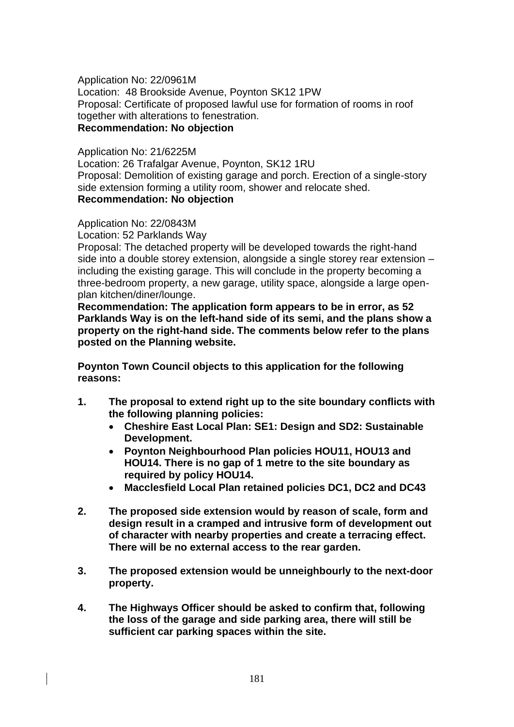Application No: 22/0961M Location: 48 Brookside Avenue, Poynton SK12 1PW Proposal: Certificate of proposed lawful use for formation of rooms in roof together with alterations to fenestration. **Recommendation: No objection**

Application No: 21/6225M Location: 26 Trafalgar Avenue, Poynton, SK12 1RU Proposal: Demolition of existing garage and porch. Erection of a single-story side extension forming a utility room, shower and relocate shed. **Recommendation: No objection**

Application No: 22/0843M

Location: 52 Parklands Way

Proposal: The detached property will be developed towards the right-hand side into a double storey extension, alongside a single storey rear extension – including the existing garage. This will conclude in the property becoming a three-bedroom property, a new garage, utility space, alongside a large openplan kitchen/diner/lounge.

**Recommendation: The application form appears to be in error, as 52 Parklands Way is on the left-hand side of its semi, and the plans show a property on the right-hand side. The comments below refer to the plans posted on the Planning website.**

**Poynton Town Council objects to this application for the following reasons:**

- **1. The proposal to extend right up to the site boundary conflicts with the following planning policies:**
	- **Cheshire East Local Plan: SE1: Design and SD2: Sustainable Development.**
	- **Poynton Neighbourhood Plan policies HOU11, HOU13 and HOU14. There is no gap of 1 metre to the site boundary as required by policy HOU14.**
	- **Macclesfield Local Plan retained policies DC1, DC2 and DC43**
- **2. The proposed side extension would by reason of scale, form and design result in a cramped and intrusive form of development out of character with nearby properties and create a terracing effect. There will be no external access to the rear garden.**
- **3. The proposed extension would be unneighbourly to the next-door property.**
- **4. The Highways Officer should be asked to confirm that, following the loss of the garage and side parking area, there will still be sufficient car parking spaces within the site.**